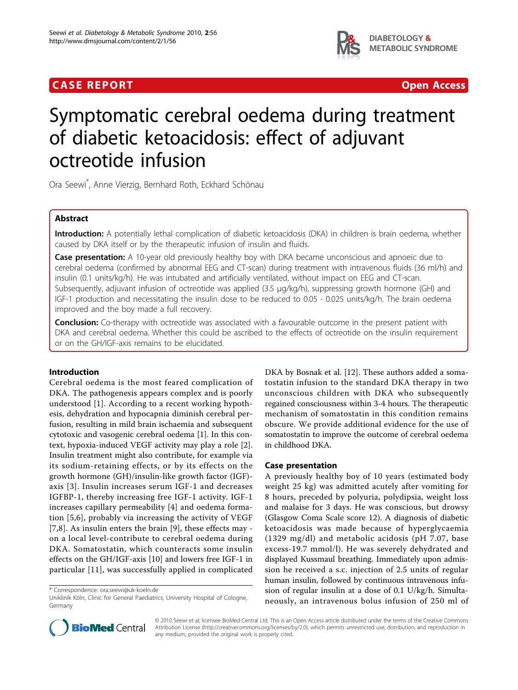## **CASE REPORT CASE REPORT CASE REPORT**



# Symptomatic cerebral oedema during treatment of diabetic ketoacidosis: effect of adjuvant octreotide infusion

Ora Seewi\* , Anne Vierzig, Bernhard Roth, Eckhard Schönau

## Abstract

Introduction: A potentially lethal complication of diabetic ketoacidosis (DKA) in children is brain oedema, whether caused by DKA itself or by the therapeutic infusion of insulin and fluids.

Case presentation: A 10-year old previously healthy boy with DKA became unconscious and apnoeic due to cerebral oedema (confirmed by abnormal EEG and CT-scan) during treatment with intravenous fluids (36 ml/h) and insulin (0.1 units/kg/h). He was intubated and artificially ventilated, without impact on EEG and CT-scan. Subsequently, adjuvant infusion of octreotide was applied (3.5 μg/kg/h), suppressing growth hormone (GH) and IGF-1 production and necessitating the insulin dose to be reduced to 0.05 - 0.025 units/kg/h. The brain oedema improved and the boy made a full recovery.

**Conclusion:** Co-therapy with octreotide was associated with a favourable outcome in the present patient with DKA and cerebral oedema. Whether this could be ascribed to the effects of octreotide on the insulin requirement or on the GH/IGF-axis remains to be elucidated.

## Introduction

Cerebral oedema is the most feared complication of DKA. The pathogenesis appears complex and is poorly understood [[1](#page-3-0)]. According to a recent working hypothesis, dehydration and hypocapnia diminish cerebral perfusion, resulting in mild brain ischaemia and subsequent cytotoxic and vasogenic cerebral oedema [[1\]](#page-3-0). In this context, hypoxia-induced VEGF activity may play a role [\[2](#page-3-0)]. Insulin treatment might also contribute, for example via its sodium-retaining effects, or by its effects on the growth hormone (GH)/insulin-like growth factor (IGF) axis [[3](#page-3-0)]. Insulin increases serum IGF-1 and decreases IGFBP-1, thereby increasing free IGF-1 activity. IGF-1 increases capillary permeability [[4](#page-3-0)] and oedema formation [[5](#page-3-0),[6\]](#page-3-0), probably via increasing the activity of VEGF [[7,8](#page-3-0)]. As insulin enters the brain [[9\]](#page-3-0), these effects may on a local level-contribute to cerebral oedema during DKA. Somatostatin, which counteracts some insulin effects on the GH/IGF-axis [\[10](#page-3-0)] and lowers free IGF-1 in particular [[11](#page-3-0)], was successfully applied in complicated

\* Correspondence: [ora.seewi@uk-koeln.de](mailto:ora.seewi@uk-koeln.de)

DKA by Bosnak et al. [[12\]](#page-3-0). These authors added a somatostatin infusion to the standard DKA therapy in two unconscious children with DKA who subsequently regained consciousness within 3-4 hours. The therapeutic mechanism of somatostatin in this condition remains obscure. We provide additional evidence for the use of somatostatin to improve the outcome of cerebral oedema in childhood DKA.

## Case presentation

A previously healthy boy of 10 years (estimated body weight 25 kg) was admitted acutely after vomiting for 8 hours, preceded by polyuria, polydipsia, weight loss and malaise for 3 days. He was conscious, but drowsy (Glasgow Coma Scale score 12). A diagnosis of diabetic ketoacidosis was made because of hyperglycaemia (1329 mg/dl) and metabolic acidosis (pH 7.07, base excess-19.7 mmol/l). He was severely dehydrated and displayed Kussmaul breathing. Immediately upon admission he received a s.c. injection of 2.5 units of regular human insulin, followed by continuous intravenous infusion of regular insulin at a dose of 0.1 U/kg/h. Simultaneously, an intravenous bolus infusion of 250 ml of



© 2010 Seewi et al; licensee BioMed Central Ltd. This is an Open Access article distributed under the terms of the Creative Commons Attribution License [\(http://creativecommons.org/licenses/by/2.0](http://creativecommons.org/licenses/by/2.0)), which permits unrestricted use, distribution, and reproduction in any medium, provided the original work is properly cited.

Uniklinik Köln, Clinic for General Paediatrics, University Hospital of Cologne, Germany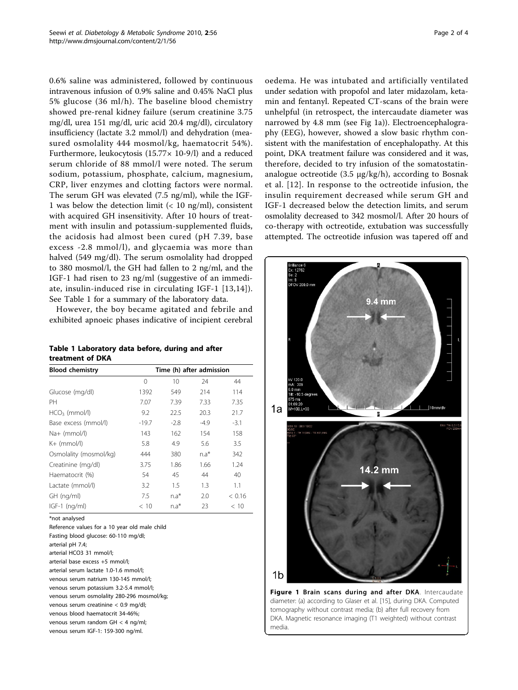<span id="page-1-0"></span>0.6% saline was administered, followed by continuous intravenous infusion of 0.9% saline and 0.45% NaCl plus 5% glucose (36 ml/h). The baseline blood chemistry showed pre-renal kidney failure (serum creatinine 3.75 mg/dl, urea 151 mg/dl, uric acid 20.4 mg/dl), circulatory insufficiency (lactate 3.2 mmol/l) and dehydration (measured osmolality 444 mosmol/kg, haematocrit 54%). Furthermore, leukocytosis (15.77× 10-9/l) and a reduced serum chloride of 88 mmol/l were noted. The serum sodium, potassium, phosphate, calcium, magnesium, CRP, liver enzymes and clotting factors were normal. The serum GH was elevated (7.5 ng/ml), while the IGF-1 was below the detection limit  $\left($  < 10 ng/ml), consistent with acquired GH insensitivity. After 10 hours of treatment with insulin and potassium-supplemented fluids, the acidosis had almost been cured (pH 7.39, base excess -2.8 mmol/l), and glycaemia was more than halved (549 mg/dl). The serum osmolality had dropped to 380 mosmol/l, the GH had fallen to 2 ng/ml, and the IGF-1 had risen to 23 ng/ml (suggestive of an immediate, insulin-induced rise in circulating IGF-1 [[13,14\]](#page-3-0)). See Table 1 for a summary of the laboratory data.

However, the boy became agitated and febrile and exhibited apnoeic phases indicative of incipient cerebral

| Table 1 Laboratory data before, during and after |  |  |  |
|--------------------------------------------------|--|--|--|
| treatment of DKA                                 |  |  |  |

| Time (h) after admission |        |        |        |  |
|--------------------------|--------|--------|--------|--|
| $\Omega$                 | 10     | 24     | 44     |  |
| 1392                     | 549    | 214    | 114    |  |
| 7.07                     | 7.39   | 7.33   | 7.35   |  |
| 9.2                      | 22.5   | 20.3   | 21.7   |  |
| $-19.7$                  | $-2.8$ | $-4.9$ | $-3.1$ |  |
| 143                      | 162    | 154    | 158    |  |
| 5.8                      | 4.9    | 5.6    | 3.5    |  |
| 444                      | 380    | $n.a*$ | 342    |  |
| 3.75                     | 1.86   | 1.66   | 1.24   |  |
| 54                       | 45     | 44     | 40     |  |
| 3.2                      | 1.5    | 1.3    | 1.1    |  |
| 7.5                      | $n.a*$ | 2.0    | < 0.16 |  |
| < 10                     | $n.a*$ | 23     | < 10   |  |
|                          |        |        |        |  |

\*not analysed

Reference values for a 10 year old male child Fasting blood glucose: 60-110 mg/dl; arterial pH 7.4; arterial HCO3 31 mmol/l; arterial base excess +5 mmol/l; arterial serum lactate 1.0-1.6 mmol/l; venous serum natrium 130-145 mmol/l; venous serum potassium 3.2-5.4 mmol/l; venous serum osmolality 280-296 mosmol/kg; venous serum creatinine < 0.9 mg/dl; venous blood haematocrit 34-46%; venous serum random GH < 4 ng/ml; venous serum IGF-1: 159-300 ng/ml.

oedema. He was intubated and artificially ventilated under sedation with propofol and later midazolam, ketamin and fentanyl. Repeated CT-scans of the brain were unhelpful (in retrospect, the intercaudate diameter was narrowed by 4.8 mm (see Fig 1a)). Electroencephalography (EEG), however, showed a slow basic rhythm consistent with the manifestation of encephalopathy. At this point, DKA treatment failure was considered and it was, therefore, decided to try infusion of the somatostatinanalogue octreotide (3.5 μg/kg/h), according to Bosnak et al. [\[12\]](#page-3-0). In response to the octreotide infusion, the insulin requirement decreased while serum GH and IGF-1 decreased below the detection limits, and serum osmolality decreased to 342 mosmol/l. After 20 hours of co-therapy with octreotide, extubation was successfully attempted. The octreotide infusion was tapered off and



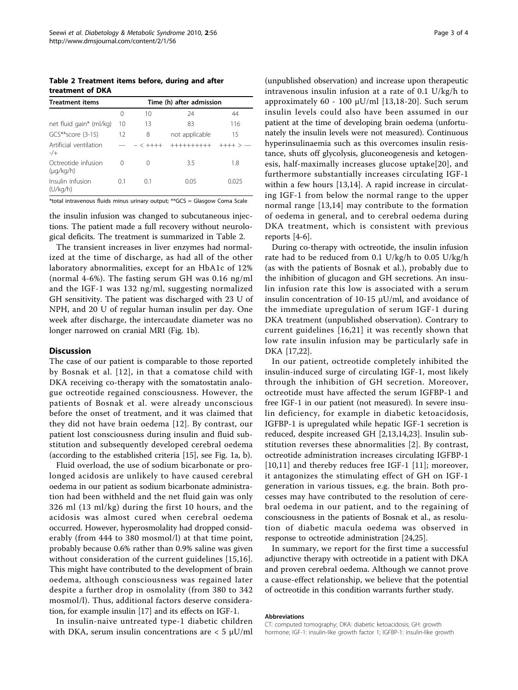Table 2 Treatment items before, during and after treatment of DKA

| <b>Treatment items</b>                | Time (h) after admission |          |                |         |  |  |
|---------------------------------------|--------------------------|----------|----------------|---------|--|--|
|                                       | 0                        | 10       | 24             | 44      |  |  |
| net fluid gain* (ml/kg)               | 10                       | 13       | 83             | 116     |  |  |
| $GCS**score(3-15)$                    | 12                       | 8        | not applicable | 15      |  |  |
| Artificial ventilation<br>$-/+$       |                          | $-< +++$ | ++++++++++     | $+++ >$ |  |  |
| Octreotide infusion<br>$(\mu q/kg/h)$ | 0                        | 0        | 3.5            | 1.8     |  |  |
| Insulin infusion<br>(U/kg/h)          | 01                       | 0.1      | 0.05           | 0.025   |  |  |

\*total intravenous fluids minus urinary output; \*\*GCS = Glasgow Coma Scale

the insulin infusion was changed to subcutaneous injections. The patient made a full recovery without neurological deficits. The treatment is summarized in Table 2.

The transient increases in liver enzymes had normalized at the time of discharge, as had all of the other laboratory abnormalities, except for an HbA1c of 12% (normal 4-6%). The fasting serum GH was 0.16 ng/ml and the IGF-1 was 132 ng/ml, suggesting normalized GH sensitivity. The patient was discharged with 23 U of NPH, and 20 U of regular human insulin per day. One week after discharge, the intercaudate diameter was no longer narrowed on cranial MRI (Fig. [1b](#page-1-0)).

#### **Discussion**

The case of our patient is comparable to those reported by Bosnak et al. [\[12](#page-3-0)], in that a comatose child with DKA receiving co-therapy with the somatostatin analogue octreotide regained consciousness. However, the patients of Bosnak et al. were already unconscious before the onset of treatment, and it was claimed that they did not have brain oedema [[12\]](#page-3-0). By contrast, our patient lost consciousness during insulin and fluid substitution and subsequently developed cerebral oedema (according to the established criteria [\[15\]](#page-3-0), see Fig. [1a, b\)](#page-1-0).

Fluid overload, the use of sodium bicarbonate or prolonged acidosis are unlikely to have caused cerebral oedema in our patient as sodium bicarbonate administration had been withheld and the net fluid gain was only 326 ml (13 ml/kg) during the first 10 hours, and the acidosis was almost cured when cerebral oedema occurred. However, hyperosmolality had dropped considerably (from 444 to 380 mosmol/l) at that time point, probably because 0.6% rather than 0.9% saline was given without consideration of the current guidelines [[15,16](#page-3-0)]. This might have contributed to the development of brain oedema, although consciousness was regained later despite a further drop in osmolality (from 380 to 342 mosmol/l). Thus, additional factors deserve consideration, for example insulin [[17\]](#page-3-0) and its effects on IGF-1.

In insulin-naive untreated type-1 diabetic children with DKA, serum insulin concentrations are  $<$  5  $\mu$ U/ml

(unpublished observation) and increase upon therapeutic intravenous insulin infusion at a rate of 0.1 U/kg/h to approximately 60 - 100 μU/ml [[13,18](#page-3-0)-[20](#page-3-0)]. Such serum insulin levels could also have been assumed in our patient at the time of developing brain oedema (unfortunately the insulin levels were not measured). Continuous hyperinsulinaemia such as this overcomes insulin resistance, shuts off glycolysis, gluconeogenesis and ketogenesis, half-maximally increases glucose uptake[[20\]](#page-3-0), and furthermore substantially increases circulating IGF-1 within a few hours [[13,14\]](#page-3-0). A rapid increase in circulating IGF-1 from below the normal range to the upper normal range [[13](#page-3-0),[14\]](#page-3-0) may contribute to the formation of oedema in general, and to cerebral oedema during DKA treatment, which is consistent with previous reports [\[4-6](#page-3-0)].

During co-therapy with octreotide, the insulin infusion rate had to be reduced from 0.1 U/kg/h to 0.05 U/kg/h (as with the patients of Bosnak et al.), probably due to the inhibition of glucagon and GH secretions. An insulin infusion rate this low is associated with a serum insulin concentration of 10-15 μU/ml, and avoidance of the immediate upregulation of serum IGF-1 during DKA treatment (unpublished observation). Contrary to current guidelines [[16](#page-3-0),[21\]](#page-3-0) it was recently shown that low rate insulin infusion may be particularly safe in DKA [[17](#page-3-0),[22](#page-3-0)].

In our patient, octreotide completely inhibited the insulin-induced surge of circulating IGF-1, most likely through the inhibition of GH secretion. Moreover, octreotide must have affected the serum IGFBP-1 and free IGF-1 in our patient (not measured). In severe insulin deficiency, for example in diabetic ketoacidosis, IGFBP-1 is upregulated while hepatic IGF-1 secretion is reduced, despite increased GH [[2,13,14,23\]](#page-3-0). Insulin substitution reverses these abnormalities [[2](#page-3-0)]. By contrast, octreotide administration increases circulating IGFBP-1 [[10,11](#page-3-0)] and thereby reduces free IGF-1 [\[11](#page-3-0)]; moreover, it antagonizes the stimulating effect of GH on IGF-1 generation in various tissues, e.g. the brain. Both processes may have contributed to the resolution of cerebral oedema in our patient, and to the regaining of consciousness in the patients of Bosnak et al., as resolution of diabetic macula oedema was observed in response to octreotide administration [[24,25\]](#page-3-0).

In summary, we report for the first time a successful adjunctive therapy with octreotide in a patient with DKA and proven cerebral oedema. Although we cannot prove a cause-effect relationship, we believe that the potential of octreotide in this condition warrants further study.

#### Abbreviations

CT: computed tomography; DKA: diabetic ketoacidosis; GH: growth hormone; IGF-1: insulin-like growth factor 1; IGFBP-1: insulin-like growth